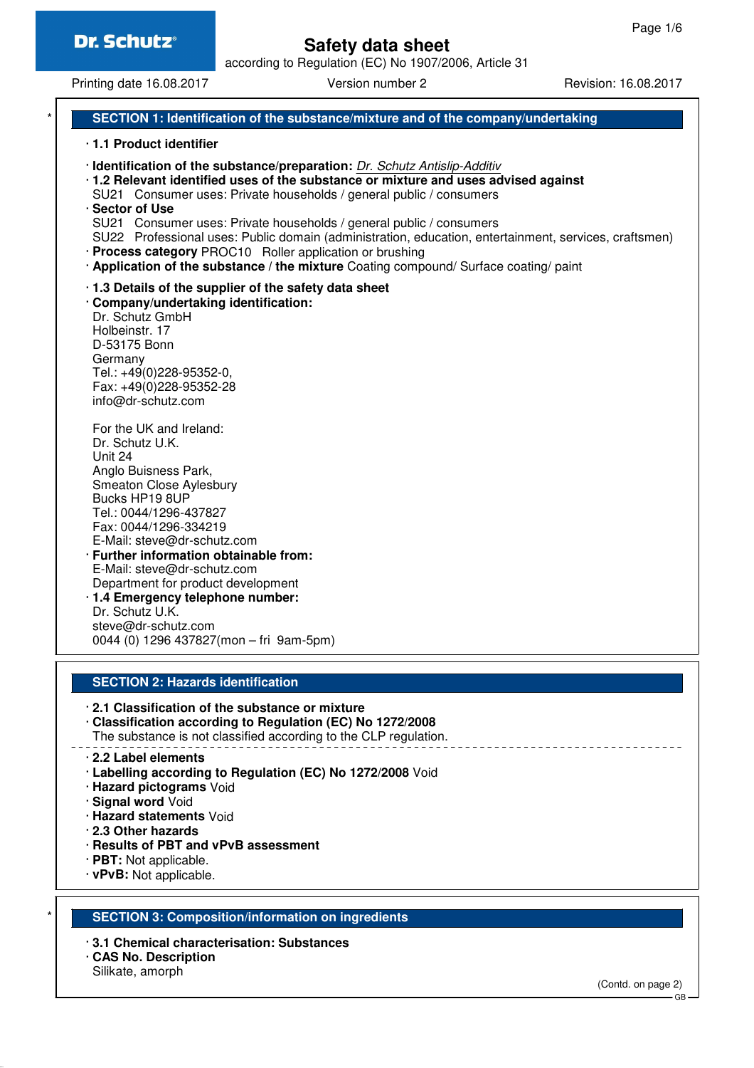according to Regulation (EC) No 1907/2006, Article 31

Printing date 16.08.2017 **Version number 2** Revision: 16.08.2017

# **SECTION 1: Identification of the substance/mixture and of the company/undertaking**

#### · **1.1 Product identifier**

· **Identification of the substance/preparation:** Dr. Schutz Antislip-Additiv · **1.2 Relevant identified uses of the substance or mixture and uses advised against** SU21 Consumer uses: Private households / general public / consumers · **Sector of Use** SU21 Consumer uses: Private households / general public / consumers SU22 Professional uses: Public domain (administration, education, entertainment, services, craftsmen) · **Process category** PROC10 Roller application or brushing · **Application of the substance / the mixture** Coating compound/ Surface coating/ paint · **1.3 Details of the supplier of the safety data sheet** · **Company/undertaking identification:** Dr. Schutz GmbH Holbeinstr. 17 D-53175 Bonn Germany Tel.: +49(0)228-95352-0, Fax: +49(0)228-95352-28

info@dr-schutz.com For the UK and Ireland: Dr. Schutz U.K. Unit 24 Anglo Buisness Park, Smeaton Close Aylesbury Bucks HP19 8UP Tel.: 0044/1296-437827 Fax: 0044/1296-334219 E-Mail: steve@dr-schutz.com · **Further information obtainable from:** E-Mail: steve@dr-schutz.com Department for product development · **1.4 Emergency telephone number:** Dr. Schutz U.K. steve@dr-schutz.com

## **SECTION 2: Hazards identification**

0044 (0) 1296 437827(mon – fri 9am-5pm)

- · **2.1 Classification of the substance or mixture**
- · **Classification according to Regulation (EC) No 1272/2008** The substance is not classified according to the CLP regulation.

- · **2.2 Label elements**
- · **Labelling according to Regulation (EC) No 1272/2008** Void
- · **Hazard pictograms** Void
- · **Signal word** Void
- · **Hazard statements** Void
- · **2.3 Other hazards**
- · **Results of PBT and vPvB assessment**
- · **PBT:** Not applicable.
- · **vPvB:** Not applicable.

## **SECTION 3: Composition/information on ingredients**

- · **3.1 Chemical characterisation: Substances**
- · **CAS No. Description**
- Silikate, amorph

(Contd. on page 2)

GB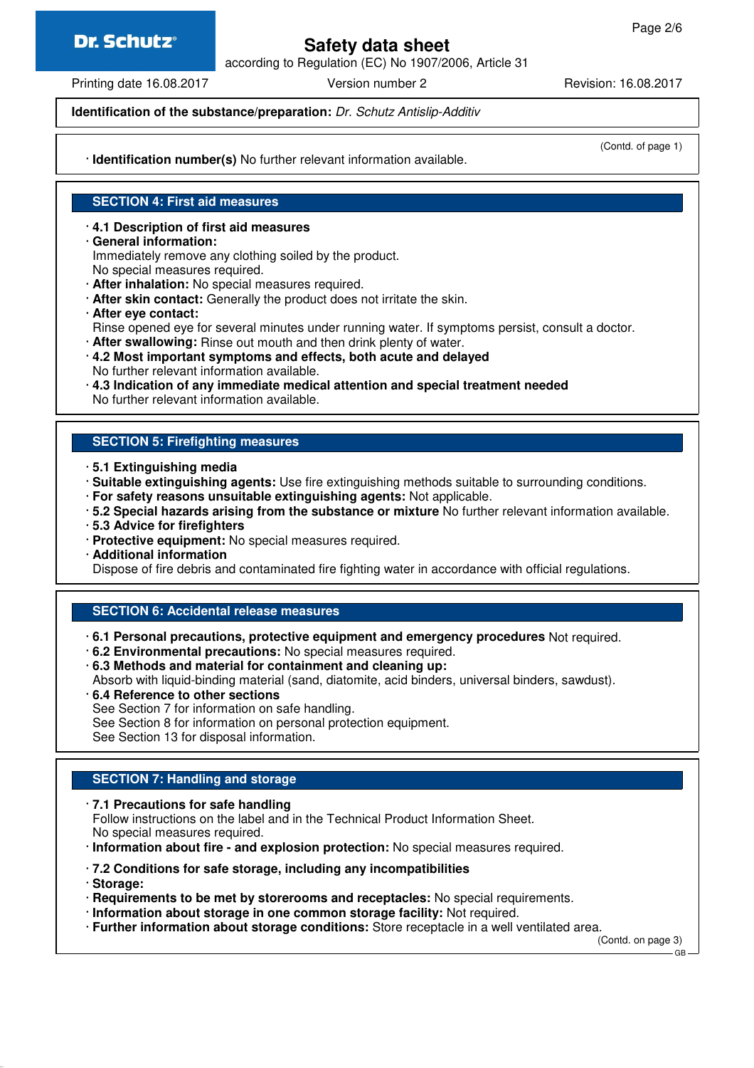# **Dr. Schutz®**

# **Safety data sheet**

according to Regulation (EC) No 1907/2006, Article 31

Printing date 16.08.2017 **Version number 2** Revision: 16.08.2017

**Identification of the substance/preparation:** Dr. Schutz Antislip-Additiv

· **Identification number(s)** No further relevant information available.

(Contd. of page 1)

# **SECTION 4: First aid measures**

## · **4.1 Description of first aid measures**

· **General information:** Immediately remove any clothing soiled by the product.

No special measures required.

- · **After inhalation:** No special measures required.
- · **After skin contact:** Generally the product does not irritate the skin.
- · **After eye contact:**
- Rinse opened eye for several minutes under running water. If symptoms persist, consult a doctor.
- · **After swallowing:** Rinse out mouth and then drink plenty of water.
- · **4.2 Most important symptoms and effects, both acute and delayed** No further relevant information available.
- · **4.3 Indication of any immediate medical attention and special treatment needed** No further relevant information available.

## **SECTION 5: Firefighting measures**

- · **5.1 Extinguishing media**
- · **Suitable extinguishing agents:** Use fire extinguishing methods suitable to surrounding conditions.
- · **For safety reasons unsuitable extinguishing agents:** Not applicable.
- · **5.2 Special hazards arising from the substance or mixture** No further relevant information available.
- · **5.3 Advice for firefighters**
- · **Protective equipment:** No special measures required.
- · **Additional information**

Dispose of fire debris and contaminated fire fighting water in accordance with official regulations.

## **SECTION 6: Accidental release measures**

· **6.1 Personal precautions, protective equipment and emergency procedures** Not required.

- · **6.2 Environmental precautions:** No special measures required.
- · **6.3 Methods and material for containment and cleaning up:**

Absorb with liquid-binding material (sand, diatomite, acid binders, universal binders, sawdust).

- · **6.4 Reference to other sections**
- See Section 7 for information on safe handling.

See Section 8 for information on personal protection equipment.

See Section 13 for disposal information.

## **SECTION 7: Handling and storage**

#### · **7.1 Precautions for safe handling**

Follow instructions on the label and in the Technical Product Information Sheet. No special measures required.

· **Information about fire - and explosion protection:** No special measures required.

- · **7.2 Conditions for safe storage, including any incompatibilities**
- · **Storage:**
- · **Requirements to be met by storerooms and receptacles:** No special requirements.
- · **Information about storage in one common storage facility:** Not required.
- · **Further information about storage conditions:** Store receptacle in a well ventilated area.

(Contd. on page 3) GB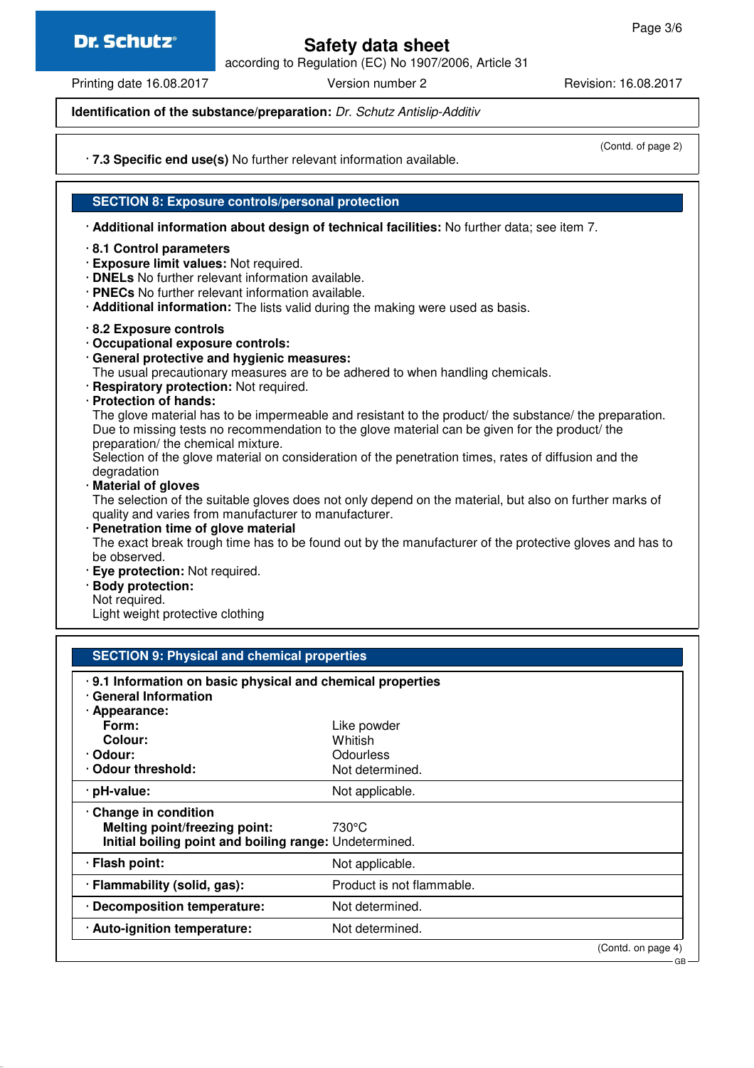# **Dr. Schutz®**

# **Safety data sheet**

according to Regulation (EC) No 1907/2006, Article 31

Printing date 16.08.2017 **Version number 2** Revision: 16.08.2017

**Identification of the substance/preparation:** Dr. Schutz Antislip-Additiv

(Contd. of page 2)

· **7.3 Specific end use(s)** No further relevant information available.

## **SECTION 8: Exposure controls/personal protection**

· **Additional information about design of technical facilities:** No further data; see item 7.

### · **8.1 Control parameters**

- · **Exposure limit values:** Not required.
- · **DNELs** No further relevant information available.
- · **PNECs** No further relevant information available.
- · **Additional information:** The lists valid during the making were used as basis.
- · **8.2 Exposure controls**
- · **Occupational exposure controls:**
- · **General protective and hygienic measures:**

The usual precautionary measures are to be adhered to when handling chemicals.

- · **Respiratory protection:** Not required.
- · **Protection of hands:**

The glove material has to be impermeable and resistant to the product/ the substance/ the preparation. Due to missing tests no recommendation to the glove material can be given for the product/ the preparation/ the chemical mixture.

Selection of the glove material on consideration of the penetration times, rates of diffusion and the degradation

· **Material of gloves**

The selection of the suitable gloves does not only depend on the material, but also on further marks of quality and varies from manufacturer to manufacturer.

· **Penetration time of glove material**

The exact break trough time has to be found out by the manufacturer of the protective gloves and has to be observed.

- · **Eye protection:** Not required.
- · **Body protection:**
- Not required.

Light weight protective clothing

| <b>SECTION 9: Physical and chemical properties</b>                                       |                           |                    |  |
|------------------------------------------------------------------------------------------|---------------------------|--------------------|--|
| .9.1 Information on basic physical and chemical properties<br><b>General Information</b> |                           |                    |  |
| · Appearance:                                                                            |                           |                    |  |
| Form:                                                                                    | Like powder               |                    |  |
| Colour:                                                                                  | Whitish                   |                    |  |
| · Odour:                                                                                 | Odourless                 |                    |  |
| Odour threshold:                                                                         | Not determined.           |                    |  |
| · pH-value:                                                                              | Not applicable.           |                    |  |
| Change in condition                                                                      |                           |                    |  |
| <b>Melting point/freezing point:</b>                                                     | 730°C                     |                    |  |
| Initial boiling point and boiling range: Undetermined.                                   |                           |                    |  |
| · Flash point:                                                                           | Not applicable.           |                    |  |
| · Flammability (solid, gas):                                                             | Product is not flammable. |                    |  |
| · Decomposition temperature:                                                             | Not determined.           |                    |  |
| · Auto-ignition temperature:                                                             | Not determined.           |                    |  |
|                                                                                          |                           | (Contd. on page 4) |  |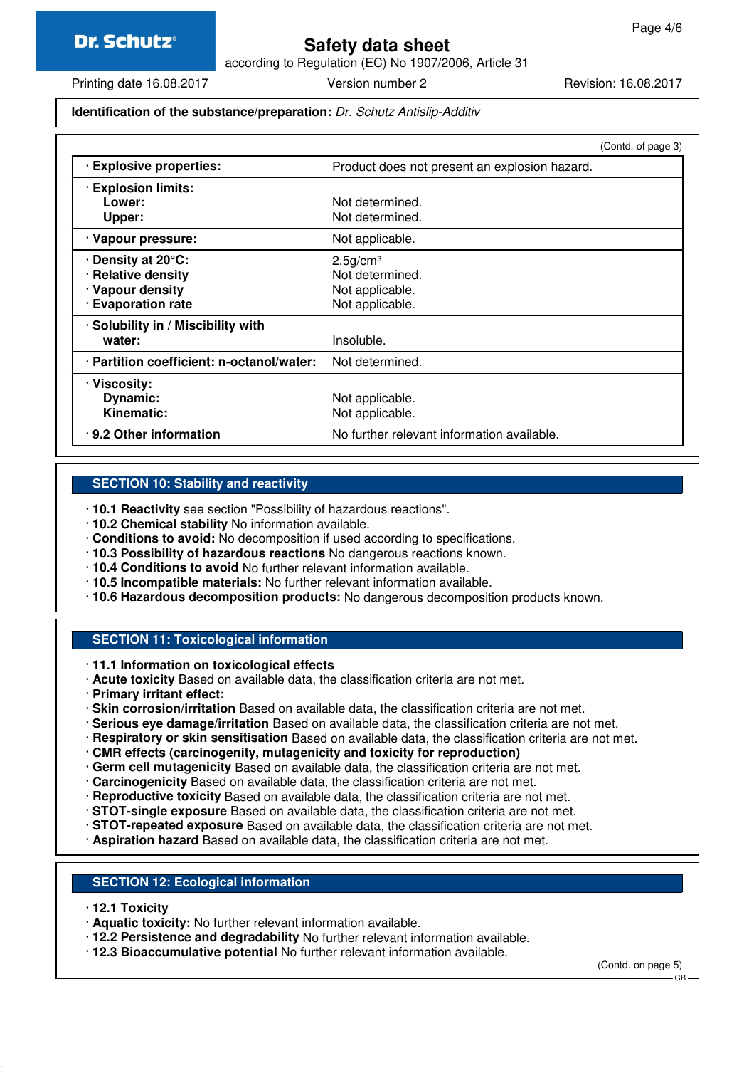according to Regulation (EC) No 1907/2006, Article 31

Printing date 16.08.2017 Version number 2 Revision: 16.08.2017

## **Identification of the substance/preparation:** Dr. Schutz Antislip-Additiv

|                                           |                                               | (Contd. of page 3) |
|-------------------------------------------|-----------------------------------------------|--------------------|
| · Explosive properties:                   | Product does not present an explosion hazard. |                    |
| <b>Explosion limits:</b>                  |                                               |                    |
| Lower:                                    | Not determined.                               |                    |
| Upper:                                    | Not determined.                               |                    |
| · Vapour pressure:                        | Not applicable.                               |                    |
| <b>⋅Density at 20°C:</b>                  | $2.5$ g/cm <sup>3</sup>                       |                    |
| · Relative density                        | Not determined.                               |                    |
| · Vapour density                          | Not applicable.                               |                    |
| · Evaporation rate                        | Not applicable.                               |                    |
| · Solubility in / Miscibility with        |                                               |                    |
| water:                                    | Insoluble.                                    |                    |
| · Partition coefficient: n-octanol/water: | Not determined.                               |                    |
| · Viscosity:                              |                                               |                    |
| Dynamic:                                  | Not applicable.                               |                    |
| <b>Kinematic:</b>                         | Not applicable.                               |                    |
| .9.2 Other information                    | No further relevant information available.    |                    |

## **SECTION 10: Stability and reactivity**

- · **10.1 Reactivity** see section "Possibility of hazardous reactions".
- · **10.2 Chemical stability** No information available.
- · **Conditions to avoid:** No decomposition if used according to specifications.
- · **10.3 Possibility of hazardous reactions** No dangerous reactions known.
- · **10.4 Conditions to avoid** No further relevant information available.
- · **10.5 Incompatible materials:** No further relevant information available.
- · **10.6 Hazardous decomposition products:** No dangerous decomposition products known.

# **SECTION 11: Toxicological information**

- · **11.1 Information on toxicological effects**
- · **Acute toxicity** Based on available data, the classification criteria are not met.
- · **Primary irritant effect:**
- · **Skin corrosion/irritation** Based on available data, the classification criteria are not met.
- · **Serious eye damage/irritation** Based on available data, the classification criteria are not met.
- · **Respiratory or skin sensitisation** Based on available data, the classification criteria are not met.
- · **CMR effects (carcinogenity, mutagenicity and toxicity for reproduction)**
- · **Germ cell mutagenicity** Based on available data, the classification criteria are not met.
- · **Carcinogenicity** Based on available data, the classification criteria are not met.
- · **Reproductive toxicity** Based on available data, the classification criteria are not met.
- · **STOT-single exposure** Based on available data, the classification criteria are not met.
- · **STOT-repeated exposure** Based on available data, the classification criteria are not met.
- · **Aspiration hazard** Based on available data, the classification criteria are not met.

## **SECTION 12: Ecological information**

- · **12.1 Toxicity**
- · **Aquatic toxicity:** No further relevant information available.
- · **12.2 Persistence and degradability** No further relevant information available.
- · **12.3 Bioaccumulative potential** No further relevant information available.

(Contd. on page 5)

GB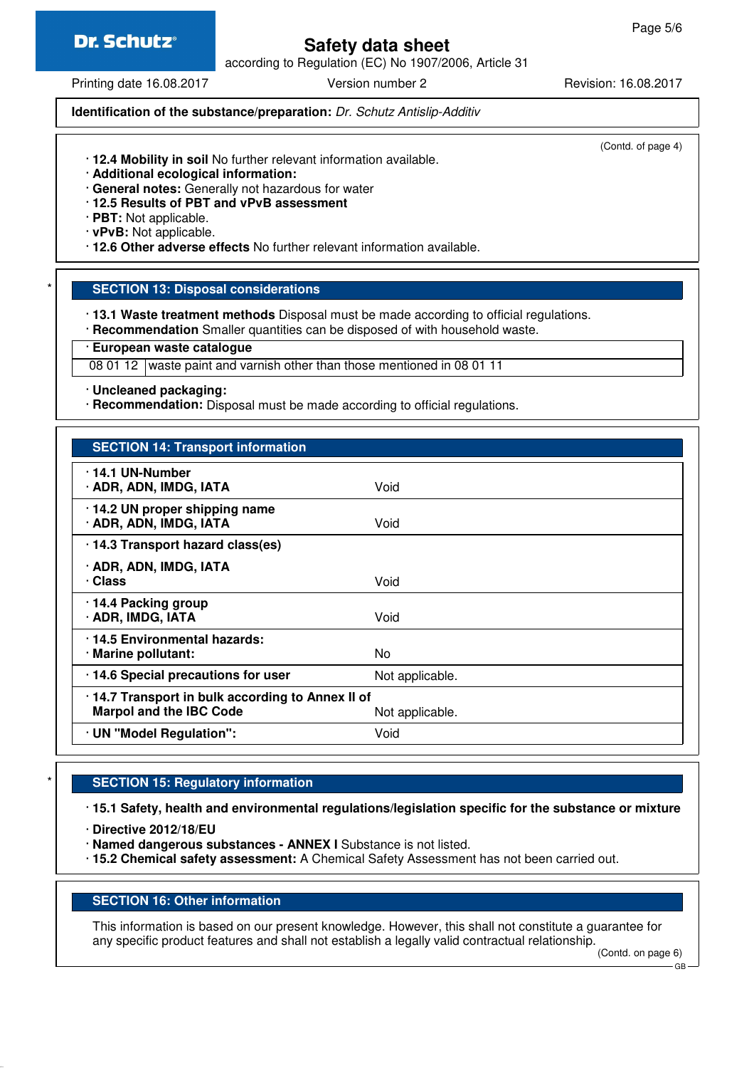

according to Regulation (EC) No 1907/2006, Article 31

Printing date 16.08.2017 **Version number 2** Revision: 16.08.2017

**Identification of the substance/preparation:** Dr. Schutz Antislip-Additiv

(Contd. of page 4)

- · **12.4 Mobility in soil** No further relevant information available.
- · **Additional ecological information:**
- · **General notes:** Generally not hazardous for water
- · **12.5 Results of PBT and vPvB assessment**

· **PBT:** Not applicable.

· **vPvB:** Not applicable.

· **12.6 Other adverse effects** No further relevant information available.

**SECTION 13: Disposal considerations** 

· **13.1 Waste treatment methods** Disposal must be made according to official regulations.

· **Recommendation** Smaller quantities can be disposed of with household waste.

· **European waste catalogue**

08 01 12 waste paint and varnish other than those mentioned in 08 01 11

· **Uncleaned packaging:**

· **Recommendation:** Disposal must be made according to official regulations.

| <b>SECTION 14: Transport information</b>                                            |                 |
|-------------------------------------------------------------------------------------|-----------------|
| ⋅14.1 UN-Number<br>· ADR, ADN, IMDG, IATA                                           | Void            |
| $\cdot$ 14.2 UN proper shipping name<br>· ADR, ADN, IMDG, IATA                      | Void            |
| · 14.3 Transport hazard class(es)                                                   |                 |
| · ADR, ADN, IMDG, IATA<br>· Class                                                   | Void            |
| · 14.4 Packing group<br>· ADR, IMDG, IATA                                           | Void            |
| .14.5 Environmental hazards:<br>· Marine pollutant:                                 | No.             |
| · 14.6 Special precautions for user                                                 | Not applicable. |
| · 14.7 Transport in bulk according to Annex II of<br><b>Marpol and the IBC Code</b> | Not applicable. |
| · UN "Model Regulation":                                                            | Void            |

# **SECTION 15: Regulatory information**

· **15.1 Safety, health and environmental regulations/legislation specific for the substance or mixture**

· **Directive 2012/18/EU**

· **Named dangerous substances - ANNEX I** Substance is not listed.

· **15.2 Chemical safety assessment:** A Chemical Safety Assessment has not been carried out.

## **SECTION 16: Other information**

This information is based on our present knowledge. However, this shall not constitute a guarantee for any specific product features and shall not establish a legally valid contractual relationship.

GB